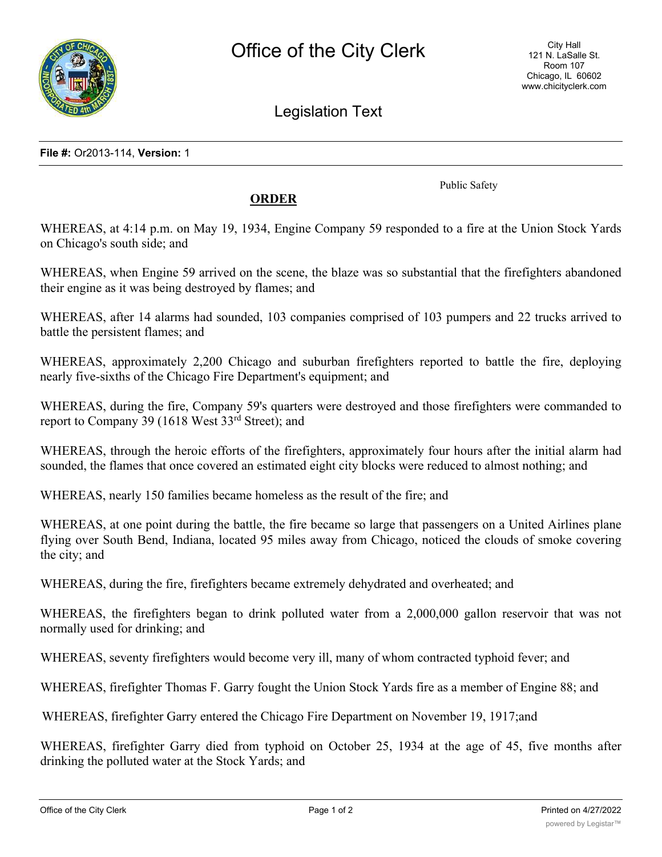

Legislation Text

**File #:** Or2013-114, **Version:** 1

Public Safety

## **ORDER**

WHEREAS, at 4:14 p.m. on May 19, 1934, Engine Company 59 responded to a fire at the Union Stock Yards on Chicago's south side; and

WHEREAS, when Engine 59 arrived on the scene, the blaze was so substantial that the firefighters abandoned their engine as it was being destroyed by flames; and

WHEREAS, after 14 alarms had sounded, 103 companies comprised of 103 pumpers and 22 trucks arrived to battle the persistent flames; and

WHEREAS, approximately 2,200 Chicago and suburban firefighters reported to battle the fire, deploying nearly five-sixths of the Chicago Fire Department's equipment; and

WHEREAS, during the fire, Company 59's quarters were destroyed and those firefighters were commanded to report to Company 39 (1618 West 33rd Street); and

WHEREAS, through the heroic efforts of the firefighters, approximately four hours after the initial alarm had sounded, the flames that once covered an estimated eight city blocks were reduced to almost nothing; and

WHEREAS, nearly 150 families became homeless as the result of the fire; and

WHEREAS, at one point during the battle, the fire became so large that passengers on a United Airlines plane flying over South Bend, Indiana, located 95 miles away from Chicago, noticed the clouds of smoke covering the city; and

WHEREAS, during the fire, firefighters became extremely dehydrated and overheated; and

WHEREAS, the firefighters began to drink polluted water from a 2,000,000 gallon reservoir that was not normally used for drinking; and

WHEREAS, seventy firefighters would become very ill, many of whom contracted typhoid fever; and

WHEREAS, firefighter Thomas F. Garry fought the Union Stock Yards fire as a member of Engine 88; and

WHEREAS, firefighter Garry entered the Chicago Fire Department on November 19, 1917;and

WHEREAS, firefighter Garry died from typhoid on October 25, 1934 at the age of 45, five months after drinking the polluted water at the Stock Yards; and